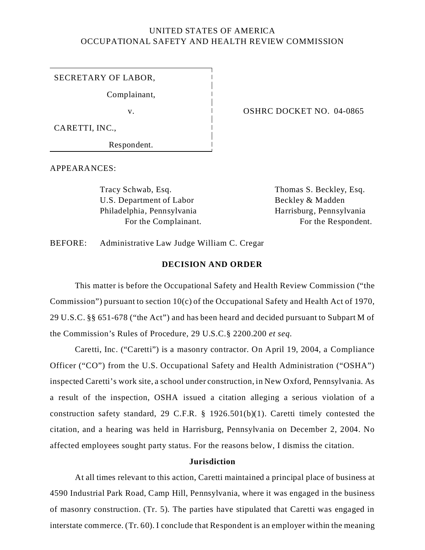# UNITED STATES OF AMERICA OCCUPATIONAL SAFETY AND HEALTH REVIEW COMMISSION

SECRETARY OF LABOR,

Complainant,

CARETTI, INC.,

Respondent.

v. COSHRC DOCKET NO. 04-0865

APPEARANCES:

Tracy Schwab, Esq. Thomas S. Beckley, Esq. U.S. Department of Labor Beckley & Madden Philadelphia, Pennsylvania Harrisburg, Pennsylvania

For the Complainant. For the Respondent.

BEFORE: Administrative Law Judge William C. Cregar

#### **DECISION AND ORDER**

This matter is before the Occupational Safety and Health Review Commission ("the Commission") pursuant to section 10(c) of the Occupational Safety and Health Act of 1970, 29 U.S.C. §§ 651-678 ("the Act") and has been heard and decided pursuant to Subpart M of the Commission's Rules of Procedure, 29 U.S.C.§ 2200.200 *et seq.* 

Caretti, Inc. ("Caretti") is a masonry contractor. On April 19, 2004, a Compliance Officer ("CO") from the U.S. Occupational Safety and Health Administration ("OSHA") inspected Caretti's work site, a school under construction, in New Oxford, Pennsylvania. As a result of the inspection, OSHA issued a citation alleging a serious violation of a construction safety standard, 29 C.F.R. § 1926.501(b)(1). Caretti timely contested the citation, and a hearing was held in Harrisburg, Pennsylvania on December 2, 2004. No affected employees sought party status. For the reasons below, I dismiss the citation.

### **Jurisdiction**

At all times relevant to this action, Caretti maintained a principal place of business at 4590 Industrial Park Road, Camp Hill, Pennsylvania, where it was engaged in the business of masonry construction. (Tr. 5). The parties have stipulated that Caretti was engaged in interstate commerce. (Tr. 60). I conclude that Respondent is an employer within the meaning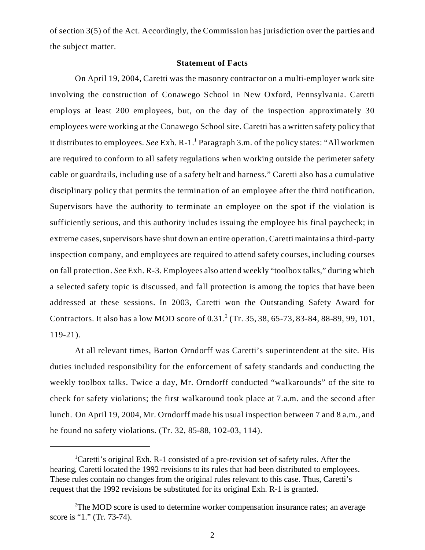of section 3(5) of the Act. Accordingly, the Commission has jurisdiction over the parties and the subject matter.

## **Statement of Facts**

On April 19, 2004, Caretti was the masonry contractor on a multi-employer work site involving the construction of Conawego School in New Oxford, Pennsylvania. Caretti employs at least 200 employees, but, on the day of the inspection approximately 30 employees were working at the Conawego School site. Caretti has a written safety policy that it distributes to employees. See Exh. R-1.<sup>1</sup> Paragraph 3.m. of the policy states: "All workmen are required to conform to all safety regulations when working outside the perimeter safety cable or guardrails, including use of a safety belt and harness." Caretti also has a cumulative disciplinary policy that permits the termination of an employee after the third notification. Supervisors have the authority to terminate an employee on the spot if the violation is sufficiently serious, and this authority includes issuing the employee his final paycheck; in extreme cases, supervisors have shut down an entire operation. Caretti maintains a third-party inspection company, and employees are required to attend safety courses, including courses on fall protection. *See* Exh. R-3. Employees also attend weekly "toolbox talks," during which a selected safety topic is discussed, and fall protection is among the topics that have been addressed at these sessions. In 2003, Caretti won the Outstanding Safety Award for Contractors. It also has a low MOD score of  $0.31$ .<sup>2</sup> (Tr. 35, 38, 65-73, 83-84, 88-89, 99, 101, 119-21).

At all relevant times, Barton Orndorff was Caretti's superintendent at the site. His duties included responsibility for the enforcement of safety standards and conducting the weekly toolbox talks. Twice a day, Mr. Orndorff conducted "walkarounds" of the site to check for safety violations; the first walkaround took place at 7.a.m. and the second after lunch. On April 19, 2004, Mr. Orndorff made his usual inspection between 7 and 8 a.m., and he found no safety violations. (Tr. 32, 85-88, 102-03, 114).

<sup>&</sup>lt;sup>1</sup>Caretti's original Exh. R-1 consisted of a pre-revision set of safety rules. After the hearing, Caretti located the 1992 revisions to its rules that had been distributed to employees. These rules contain no changes from the original rules relevant to this case. Thus, Caretti's request that the 1992 revisions be substituted for its original Exh. R-1 is granted.

<sup>&</sup>lt;sup>2</sup>The MOD score is used to determine worker compensation insurance rates; an average score is "1." (Tr. 73-74).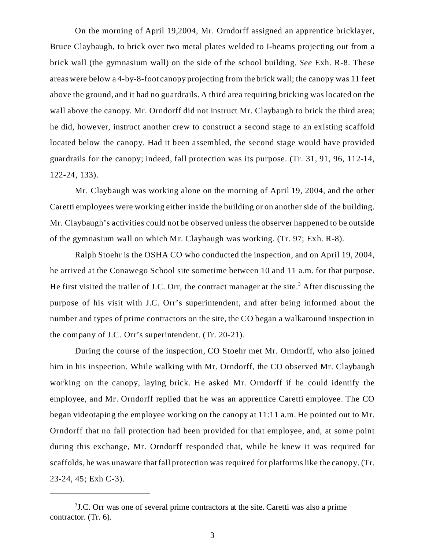On the morning of April 19,2004, Mr. Orndorff assigned an apprentice bricklayer, Bruce Claybaugh, to brick over two metal plates welded to I-beams projecting out from a brick wall (the gymnasium wall) on the side of the school building. *See* Exh. R-8. These areas were below a 4-by-8-foot canopy projecting from the brick wall; the canopy was 11 feet above the ground, and it had no guardrails. A third area requiring bricking was located on the wall above the canopy. Mr. Orndorff did not instruct Mr. Claybaugh to brick the third area; he did, however, instruct another crew to construct a second stage to an existing scaffold located below the canopy. Had it been assembled, the second stage would have provided guardrails for the canopy; indeed, fall protection was its purpose. (Tr. 31, 91, 96, 112-14, 122-24, 133).

Mr. Claybaugh was working alone on the morning of April 19, 2004, and the other Caretti employees were working either inside the building or on another side of the building. Mr. Claybaugh's activities could not be observed unless the observer happened to be outside of the gymnasium wall on which Mr. Claybaugh was working. (Tr. 97; Exh. R-8).

Ralph Stoehr is the OSHA CO who conducted the inspection, and on April 19, 2004, he arrived at the Conawego School site sometime between 10 and 11 a.m. for that purpose. He first visited the trailer of J.C. Orr, the contract manager at the site.<sup>3</sup> After discussing the purpose of his visit with J.C. Orr's superintendent, and after being informed about the number and types of prime contractors on the site, the CO began a walkaround inspection in the company of J.C. Orr's superintendent. (Tr. 20-21).

During the course of the inspection, CO Stoehr met Mr. Orndorff, who also joined him in his inspection. While walking with Mr. Orndorff, the CO observed Mr. Claybaugh working on the canopy, laying brick. He asked Mr. Orndorff if he could identify the employee, and Mr. Orndorff replied that he was an apprentice Caretti employee. The CO began videotaping the employee working on the canopy at 11:11 a.m. He pointed out to Mr. Orndorff that no fall protection had been provided for that employee, and, at some point during this exchange, Mr. Orndorff responded that, while he knew it was required for scaffolds, he was unaware that fall protection was required for platforms like the canopy. (Tr. 23-24, 45; Exh C-3).

<sup>3</sup> J.C. Orr was one of several prime contractors at the site. Caretti was also a prime contractor. (Tr. 6).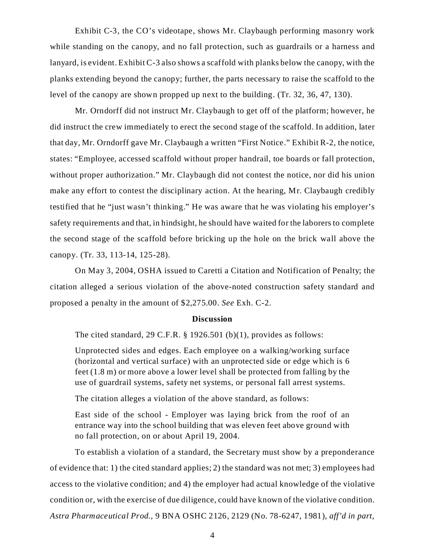Exhibit C-3, the CO's videotape, shows Mr. Claybaugh performing masonry work while standing on the canopy, and no fall protection, such as guardrails or a harness and lanyard, is evident. Exhibit C-3 also shows a scaffold with planks below the canopy, with the planks extending beyond the canopy; further, the parts necessary to raise the scaffold to the level of the canopy are shown propped up next to the building. (Tr. 32, 36, 47, 130).

Mr. Orndorff did not instruct Mr. Claybaugh to get off of the platform; however, he did instruct the crew immediately to erect the second stage of the scaffold. In addition, later that day, Mr. Orndorff gave Mr. Claybaugh a written "First Notice." Exhibit R-2, the notice, states: "Employee, accessed scaffold without proper handrail, toe boards or fall protection, without proper authorization." Mr. Claybaugh did not contest the notice, nor did his union make any effort to contest the disciplinary action. At the hearing, Mr. Claybaugh credibly testified that he "just wasn't thinking." He was aware that he was violating his employer's safety requirements and that, in hindsight, he should have waited for the laborers to complete the second stage of the scaffold before bricking up the hole on the brick wall above the canopy. (Tr. 33, 113-14, 125-28).

On May 3, 2004, OSHA issued to Caretti a Citation and Notification of Penalty; the citation alleged a serious violation of the above-noted construction safety standard and proposed a penalty in the amount of \$2,275.00. *See* Exh. C-2.

#### **Discussion**

The cited standard, 29 C.F.R. § 1926.501 (b)(1), provides as follows:

Unprotected sides and edges. Each employee on a walking/working surface (horizontal and vertical surface) with an unprotected side or edge which is 6 feet (1.8 m) or more above a lower level shall be protected from falling by the use of guardrail systems, safety net systems, or personal fall arrest systems.

The citation alleges a violation of the above standard, as follows:

East side of the school - Employer was laying brick from the roof of an entrance way into the school building that was eleven feet above ground with no fall protection, on or about April 19, 2004.

To establish a violation of a standard, the Secretary must show by a preponderance of evidence that: 1) the cited standard applies; 2) the standard was not met; 3) employees had access to the violative condition; and 4) the employer had actual knowledge of the violative condition or, with the exercise of due diligence, could have known of the violative condition. *Astra Pharm aceutical Prod.,* 9 BNA OSHC 2126, 2129 (No. 78-6247, 1981), *aff'd in part,*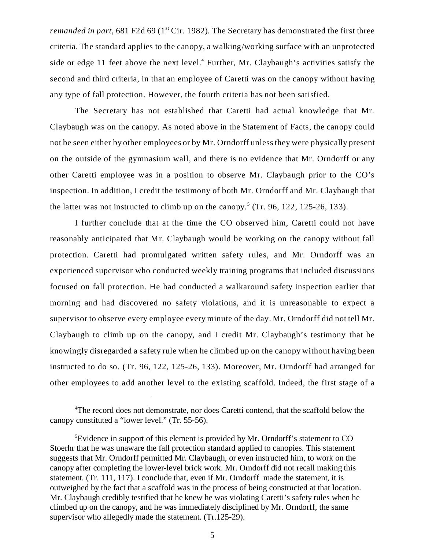*remanded in part*, 681 F2d 69 (1<sup>st</sup> Cir. 1982). The Secretary has demonstrated the first three criteria. The standard applies to the canopy, a walking/working surface with an unprotected side or edge 11 feet above the next level. $4$  Further, Mr. Claybaugh's activities satisfy the second and third criteria, in that an employee of Caretti was on the canopy without having any type of fall protection. However, the fourth criteria has not been satisfied.

The Secretary has not established that Caretti had actual knowledge that Mr. Claybaugh was on the canopy. As noted above in the Statement of Facts, the canopy could not be seen either by other employees or by Mr. Orndorff unless they were physically present on the outside of the gymnasium wall, and there is no evidence that Mr. Orndorff or any other Caretti employee was in a position to observe Mr. Claybaugh prior to the CO's inspection. In addition, I credit the testimony of both Mr. Orndorff and Mr. Claybaugh that the latter was not instructed to climb up on the canopy.<sup>5</sup> (Tr. 96, 122, 125-26, 133).

I further conclude that at the time the CO observed him, Caretti could not have reasonably anticipated that Mr. Claybaugh would be working on the canopy without fall protection. Caretti had promulgated written safety rules, and Mr. Orndorff was an experienced supervisor who conducted weekly training programs that included discussions focused on fall protection. He had conducted a walkaround safety inspection earlier that morning and had discovered no safety violations, and it is unreasonable to expect a supervisor to observe every employee every minute of the day. Mr. Orndorff did not tell Mr. Claybaugh to climb up on the canopy, and I credit Mr. Claybaugh's testimony that he knowingly disregarded a safety rule when he climbed up on the canopy without having been instructed to do so. (Tr. 96, 122, 125-26, 133). Moreover, Mr. Orndorff had arranged for other employees to add another level to the existing scaffold. Indeed, the first stage of a

<sup>&</sup>lt;sup>4</sup>The record does not demonstrate, nor does Caretti contend, that the scaffold below the canopy constituted a "lower level." (Tr. 55-56).

<sup>5</sup> Evidence in support of this element is provided by Mr. Orndorff's statement to CO Stoerhr that he was unaware the fall protection standard applied to canopies. This statement suggests that Mr. Orndorff permitted Mr. Claybaugh, or even instructed him, to work on the canopy after completing the lower-level brick work. Mr. Orndorff did not recall making this statement. (Tr. 111, 117). I conclude that, even if Mr. Orndorff made the statement, it is outweighed by the fact that a scaffold was in the process of being constructed at that location. Mr. Claybaugh credibly testified that he knew he was violating Caretti's safety rules when he climbed up on the canopy, and he was immediately disciplined by Mr. Orndorff, the same supervisor who allegedly made the statement. (Tr.125-29).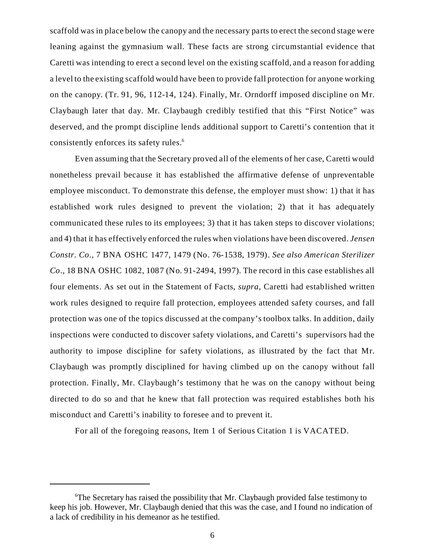scaffold was in place below the canopy and the necessary parts to erect the second stage were leaning against the gymnasium wall. These facts are strong circumstantial evidence that Caretti was intending to erect a second level on the existing scaffold, and a reason for adding a level to the existing scaffold would have been to provide fall protection for anyone working on the canopy. (Tr. 91, 96, 112-14, 124). Finally, Mr. Orndorff imposed discipline on Mr. Claybaugh later that day. Mr. Claybaugh credibly testified that this "First Notice" was deserved, and the prompt discipline lends additional support to Caretti's contention that it consistently enforces its safety rules.<sup>6</sup>

Even assuming that the Secretary proved all of the elements of her case, Caretti would nonetheless prevail because it has established the affirmative defense of unpreventable employee misconduct. To demonstrate this defense, the employer must show: 1) that it has established work rules designed to prevent the violation; 2) that it has adequately communicated these rules to its employees; 3) that it has taken steps to discover violations; and 4) that it has effectively enforced the rules when violations have been discovered. *Jensen Constr. Co.,* 7 BNA OSHC 1477, 1479 (No. 76-1538, 1979). *See also American Sterilizer Co.,* 18 BNA OSHC 1082, 1087 (No. 91-2494, 1997). The record in this case establishes all four elements. As set out in the Statement of Facts, *supra*, Caretti had established written work rules designed to require fall protection, employees attended safety courses, and fall protection was one of the topics discussed at the company's toolbox talks. In addition, daily inspections were conducted to discover safety violations, and Caretti's supervisors had the authority to impose discipline for safety violations, as illustrated by the fact that Mr. Claybaugh was promptly disciplined for having climbed up on the canopy without fall protection. Finally, Mr. Claybaugh's testimony that he was on the canopy without being directed to do so and that he knew that fall protection was required establishes both his misconduct and Caretti's inability to foresee and to prevent it.

For all of the foregoing reasons, Item 1 of Serious Citation 1 is VACATED.

<sup>6</sup> The Secretary has raised the possibility that Mr. Claybaugh provided false testimony to keep his job. However, Mr. Claybaugh denied that this was the case, and I found no indication of a lack of credibility in his demeanor as he testified.